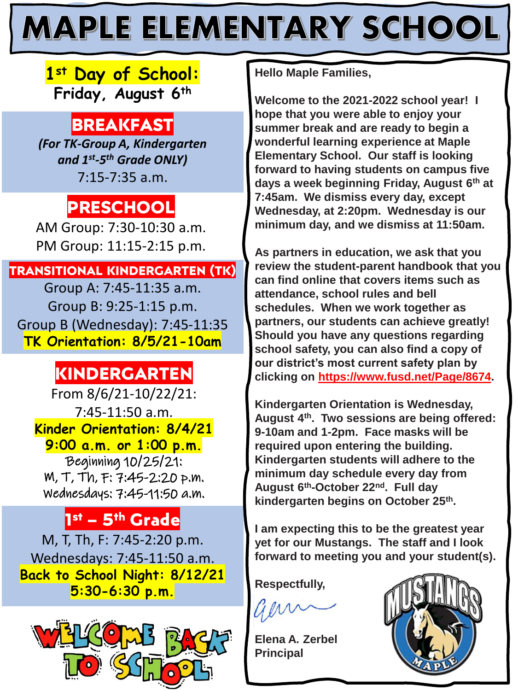# **MAPLE ELEMENTARY SCHOOL**

### **1st Day of School: Friday, August 6th**

## **BREAKFAST**

*(For TK-Group A, Kindergarten and 1st -5 th Grade ONLY)* 7:15-7:35 a.m.

## **PRESCHOOL**

AM Group: 7:30-10:30 a.m. PM Group: 11:15-2:15 p.m.

#### **TRANSITIONAL KINDERGARTEN (TK)**

Group A: 7:45-11:35 a.m. Group B: 9:25-1:15 p.m. Group B (Wednesday): 7:45-11:35 **TK Orientation: 8/5/21-10am**

## **KINDERGARTEN**

From 8/6/21-10/22/21: 7:45-11:50 a.m. **Kinder Orientation: 8/4/21 9:00 a.m. or 1:00 p.m.** Beginning 10/25/21: M, T, Th, F: 7:45-2:20 p.m. Wednesdays: 7:45-11:50 a.m.

### **1 st – 5th Grade**

M, T, Th, F: 7:45-2:20 p.m. Wednesdays: 7:45-11:50 a.m. **Back to School Night: 8/12/21 5:30-6:30 p.m.**



**Hello Maple Families,**

**Welcome to the 2021-2022 school year! I hope that you were able to enjoy your summer break and are ready to begin a wonderful learning experience at Maple Elementary School. Our staff is looking forward to having students on campus five days a week beginning Friday, August 6th at 7:45am. We dismiss every day, except Wednesday, at 2:20pm. Wednesday is our minimum day, and we dismiss at 11:50am.**

**As partners in education, we ask that you review the student-parent handbook that you can find online that covers items such as attendance, school rules and bell schedules. When we work together as partners, our students can achieve greatly! Should you have any questions regarding school safety, you can also find a copy of our district's most current safety plan by clicking on [https://www.fusd.net/Page/8674.](https://www.fusd.net/Page/8674)**

**Kindergarten Orientation is Wednesday, August 4th. Two sessions are being offered: 9-10am and 1-2pm. Face masks will be required upon entering the building. Kindergarten students will adhere to the minimum day schedule every day from August 6th-October 22nd. Full day kindergarten begins on October 25th.**

**I am expecting this to be the greatest year yet for our Mustangs. The staff and I look forward to meeting you and your student(s).**

**Respectfully,**

**Elena A. Zerbel Principal**